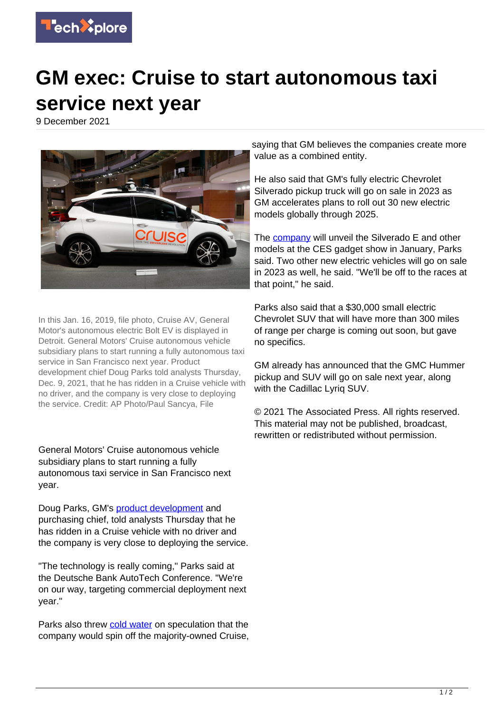

## **GM exec: Cruise to start autonomous taxi service next year**

9 December 2021



In this Jan. 16, 2019, file photo, Cruise AV, General Motor's autonomous electric Bolt EV is displayed in Detroit. General Motors' Cruise autonomous vehicle subsidiary plans to start running a fully autonomous taxi service in San Francisco next year. Product development chief Doug Parks told analysts Thursday, Dec. 9, 2021, that he has ridden in a Cruise vehicle with no driver, and the company is very close to deploying the service. Credit: AP Photo/Paul Sancya, File

General Motors' Cruise autonomous vehicle subsidiary plans to start running a fully autonomous taxi service in San Francisco next year.

Doug Parks, GM's [product development](https://techxplore.com/tags/product+development/) and purchasing chief, told analysts Thursday that he has ridden in a Cruise vehicle with no driver and the company is very close to deploying the service.

"The technology is really coming," Parks said at the Deutsche Bank AutoTech Conference. "We're on our way, targeting commercial deployment next year."

Parks also threw [cold water](https://techxplore.com/tags/cold+water/) on speculation that the company would spin off the majority-owned Cruise,

saying that GM believes the companies create more value as a combined entity.

He also said that GM's fully electric Chevrolet Silverado pickup truck will go on sale in 2023 as GM accelerates plans to roll out 30 new electric models globally through 2025.

The [company](https://techxplore.com/tags/company/) will unveil the Silverado E and other models at the CES gadget show in January, Parks said. Two other new electric vehicles will go on sale in 2023 as well, he said. "We'll be off to the races at that point," he said.

Parks also said that a \$30,000 small electric Chevrolet SUV that will have more than 300 miles of range per charge is coming out soon, but gave no specifics.

GM already has announced that the GMC Hummer pickup and SUV will go on sale next year, along with the Cadillac Lyrig SUV.

© 2021 The Associated Press. All rights reserved. This material may not be published, broadcast, rewritten or redistributed without permission.